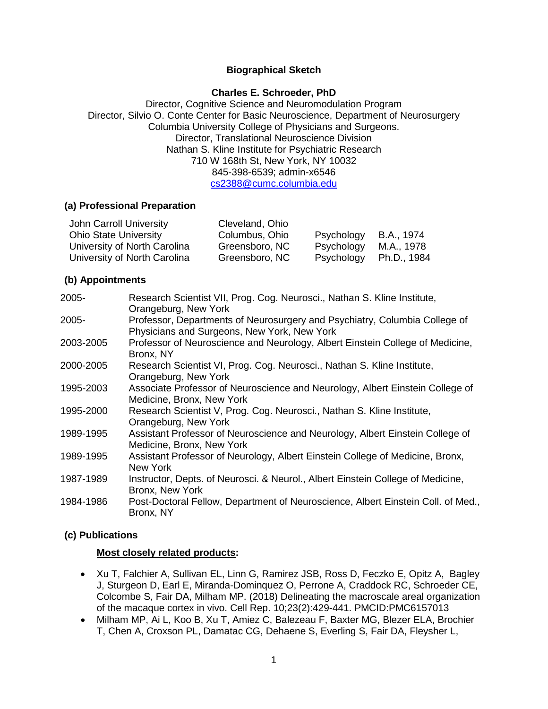## **Biographical Sketch**

#### **Charles E. Schroeder, PhD**

Director, Cognitive Science and Neuromodulation Program Director, Silvio O. Conte Center for Basic Neuroscience, Department of Neurosurgery Columbia University College of Physicians and Surgeons. Director, Translational Neuroscience Division Nathan S. Kline Institute for Psychiatric Research 710 W 168th St, New York, NY 10032 845-398-6539; admin-x6546 [cs2388@cumc.columbia.edu](mailto:cs2388@cumc.columbia.edu)

#### **(a) Professional Preparation**

| John Carroll University      | Cleveland, Ohio |            |             |
|------------------------------|-----------------|------------|-------------|
| <b>Ohio State University</b> | Columbus, Ohio  | Psychology | B.A., 1974  |
| University of North Carolina | Greensboro, NC  | Psychology | M.A., 1978  |
| University of North Carolina | Greensboro, NC  | Psychology | Ph.D., 1984 |

## **(b) Appointments**

| $2005 -$  | Research Scientist VII, Prog. Cog. Neurosci., Nathan S. Kline Institute,<br>Orangeburg, New York                          |
|-----------|---------------------------------------------------------------------------------------------------------------------------|
| $2005 -$  | Professor, Departments of Neurosurgery and Psychiatry, Columbia College of<br>Physicians and Surgeons, New York, New York |
| 2003-2005 | Professor of Neuroscience and Neurology, Albert Einstein College of Medicine,<br>Bronx, NY                                |
| 2000-2005 | Research Scientist VI, Prog. Cog. Neurosci., Nathan S. Kline Institute,<br>Orangeburg, New York                           |
| 1995-2003 | Associate Professor of Neuroscience and Neurology, Albert Einstein College of<br>Medicine, Bronx, New York                |
| 1995-2000 | Research Scientist V, Prog. Cog. Neurosci., Nathan S. Kline Institute,<br>Orangeburg, New York                            |
| 1989-1995 | Assistant Professor of Neuroscience and Neurology, Albert Einstein College of<br>Medicine, Bronx, New York                |
| 1989-1995 | Assistant Professor of Neurology, Albert Einstein College of Medicine, Bronx,<br>New York                                 |
| 1987-1989 | Instructor, Depts. of Neurosci. & Neurol., Albert Einstein College of Medicine,<br>Bronx, New York                        |
| 1984-1986 | Post-Doctoral Fellow, Department of Neuroscience, Albert Einstein Coll. of Med.,<br>Bronx, NY                             |

## **(c) Publications**

## **Most closely related products:**

- Xu T, Falchier A, Sullivan EL, Linn G, Ramirez JSB, Ross D, Feczko E, Opitz A, Bagley J, Sturgeon D, Earl E, Miranda-Dominquez O, Perrone A, Craddock RC, Schroeder CE, Colcombe S, Fair DA, Milham MP. (2018) Delineating the macroscale areal organization of the macaque cortex in vivo. Cell Rep. 10;23(2):429-441. PMCID:PMC6157013
- Milham MP, Ai L, Koo B, Xu T, Amiez C, Balezeau F, Baxter MG, Blezer ELA, Brochier T, Chen A, Croxson PL, Damatac CG, Dehaene S, Everling S, Fair DA, Fleysher L,